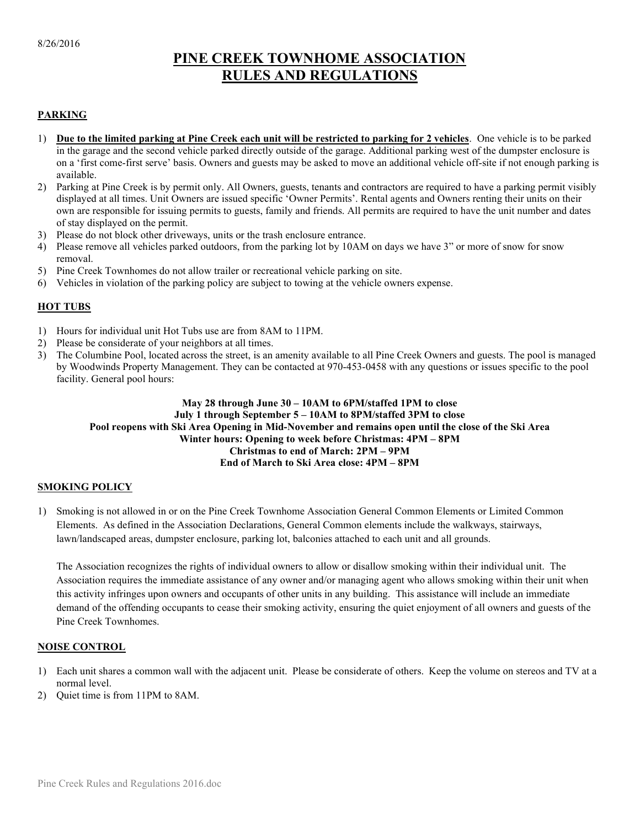### PINE CREEK TOWNHOME ASSOCIATION RULES AND REGULATIONS

#### **PARKING**

- 1) Due to the limited parking at Pine Creek each unit will be restricted to parking for 2 vehicles. One vehicle is to be parked in the garage and the second vehicle parked directly outside of the garage. Additional parking west of the dumpster enclosure is on a 'first come-first serve' basis. Owners and guests may be asked to move an additional vehicle off-site if not enough parking is available.
- 2) Parking at Pine Creek is by permit only. All Owners, guests, tenants and contractors are required to have a parking permit visibly displayed at all times. Unit Owners are issued specific 'Owner Permits'. Rental agents and Owners renting their units on their own are responsible for issuing permits to guests, family and friends. All permits are required to have the unit number and dates of stay displayed on the permit.
- 3) Please do not block other driveways, units or the trash enclosure entrance.
- 4) Please remove all vehicles parked outdoors, from the parking lot by 10AM on days we have 3" or more of snow for snow removal.
- 5) Pine Creek Townhomes do not allow trailer or recreational vehicle parking on site.
- 6) Vehicles in violation of the parking policy are subject to towing at the vehicle owners expense.

#### HOT TUBS

- 1) Hours for individual unit Hot Tubs use are from 8AM to 11PM.
- 2) Please be considerate of your neighbors at all times.
- 3) The Columbine Pool, located across the street, is an amenity available to all Pine Creek Owners and guests. The pool is managed by Woodwinds Property Management. They can be contacted at 970-453-0458 with any questions or issues specific to the pool facility. General pool hours:

#### May 28 through June 30 – 10AM to 6PM/staffed 1PM to close July 1 through September 5 – 10AM to 8PM/staffed 3PM to close Pool reopens with Ski Area Opening in Mid-November and remains open until the close of the Ski Area Winter hours: Opening to week before Christmas: 4PM – 8PM Christmas to end of March: 2PM – 9PM End of March to Ski Area close: 4PM – 8PM

#### SMOKING POLICY

1) Smoking is not allowed in or on the Pine Creek Townhome Association General Common Elements or Limited Common Elements. As defined in the Association Declarations, General Common elements include the walkways, stairways, lawn/landscaped areas, dumpster enclosure, parking lot, balconies attached to each unit and all grounds.

The Association recognizes the rights of individual owners to allow or disallow smoking within their individual unit. The Association requires the immediate assistance of any owner and/or managing agent who allows smoking within their unit when this activity infringes upon owners and occupants of other units in any building. This assistance will include an immediate demand of the offending occupants to cease their smoking activity, ensuring the quiet enjoyment of all owners and guests of the Pine Creek Townhomes.

#### NOISE CONTROL

- 1) Each unit shares a common wall with the adjacent unit. Please be considerate of others. Keep the volume on stereos and TV at a normal level.
- 2) Quiet time is from 11PM to 8AM.